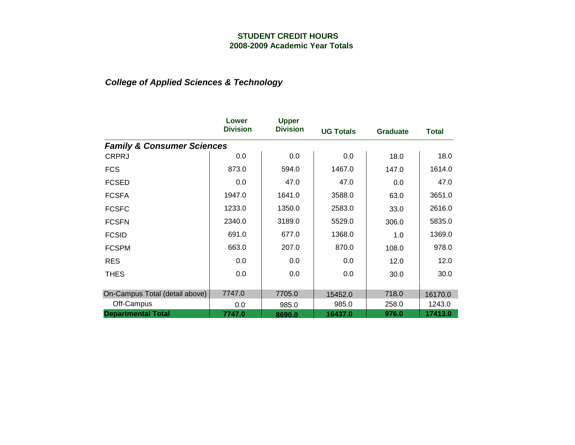|                                       | Lower<br><b>Division</b> | <b>Upper</b><br><b>Division</b> | <b>UG Totals</b> | <b>Graduate</b> | <b>Total</b> |
|---------------------------------------|--------------------------|---------------------------------|------------------|-----------------|--------------|
| <b>Family &amp; Consumer Sciences</b> |                          |                                 |                  |                 |              |
| <b>CRPRJ</b>                          | 0.0                      | 0.0                             | 0.0              | 18.0            | 18.0         |
| <b>FCS</b>                            | 873.0                    | 594.0                           | 1467.0           | 147.0           | 1614.0       |
| <b>FCSED</b>                          | 0.0                      | 47.0                            | 47.0             | 0.0             | 47.0         |
| <b>FCSFA</b>                          | 1947.0                   | 1641.0                          | 3588.0           | 63.0            | 3651.0       |
| <b>FCSFC</b>                          | 1233.0                   | 1350.0                          | 2583.0           | 33.0            | 2616.0       |
| <b>FCSFN</b>                          | 2340.0                   | 3189.0                          | 5529.0           | 306.0           | 5835.0       |
| <b>FCSID</b>                          | 691.0                    | 677.0                           | 1368.0           | 1.0             | 1369.0       |
| <b>FCSPM</b>                          | 663.0                    | 207.0                           | 870.0            | 108.0           | 978.0        |
| <b>RES</b>                            | 0.0                      | 0.0                             | 0.0              | 12.0            | 12.0         |
| <b>THES</b>                           | 0.0                      | 0.0                             | 0.0              | 30.0            | 30.0         |
| On-Campus Total (detail above)        | 7747.0                   | 7705.0                          | 15452.0          | 718.0           | 16170.0      |
| Off-Campus                            | 0.0                      | 985.0                           | 985.0            | 258.0           | 1243.0       |
| <b>Departmental Total</b>             | 7747.0                   | 8690.0                          | 16437.0          | 976.0           | 17413.0      |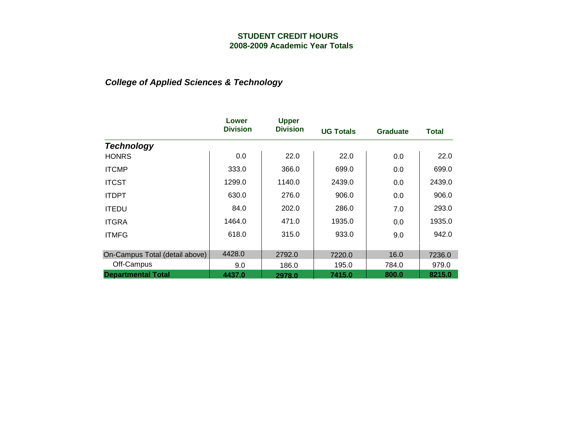|                                | Lower<br><b>Division</b> | <b>Upper</b><br><b>Division</b> | <b>UG Totals</b> | <b>Graduate</b> | Total  |
|--------------------------------|--------------------------|---------------------------------|------------------|-----------------|--------|
| <b>Technology</b>              |                          |                                 |                  |                 |        |
| <b>HONRS</b>                   | 0.0                      | 22.0                            | 22.0             | 0.0             | 22.0   |
| <b>ITCMP</b>                   | 333.0                    | 366.0                           | 699.0            | 0.0             | 699.0  |
| <b>ITCST</b>                   | 1299.0                   | 1140.0                          | 2439.0           | 0.0             | 2439.0 |
| <b>ITDPT</b>                   | 630.0                    | 276.0                           | 906.0            | 0.0             | 906.0  |
| <b>ITEDU</b>                   | 84.0                     | 202.0                           | 286.0            | 7.0             | 293.0  |
| <b>ITGRA</b>                   | 1464.0                   | 471.0                           | 1935.0           | 0.0             | 1935.0 |
| <b>ITMFG</b>                   | 618.0                    | 315.0                           | 933.0            | 9.0             | 942.0  |
|                                |                          |                                 |                  |                 |        |
| On-Campus Total (detail above) | 4428.0                   | 2792.0                          | 7220.0           | 16.0            | 7236.0 |
| Off-Campus                     | 9.0                      | 186.0                           | 195.0            | 784.0           | 979.0  |
| <b>Departmental Total</b>      | 4437.0                   | 2978.0                          | 7415.0           | 800.0           | 8215.0 |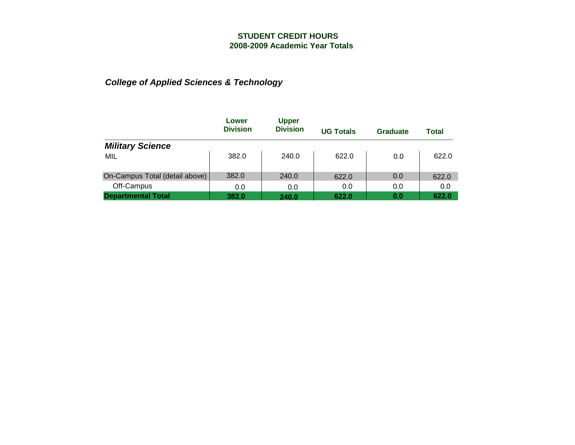|                                | Lower<br><b>Division</b> | <b>Upper</b><br><b>Division</b> | <b>UG Totals</b> | Graduate | Total |
|--------------------------------|--------------------------|---------------------------------|------------------|----------|-------|
| <b>Military Science</b>        |                          |                                 |                  |          |       |
| MIL                            | 382.0                    | 240.0                           | 622.0            | 0.0      | 622.0 |
| On-Campus Total (detail above) | 382.0                    | 240.0                           | 622.0            | 0.0      | 622.0 |
| Off-Campus                     | 0.0                      | 0.0                             | 0.0              | 0.0      | 0.0   |
| <b>Departmental Total</b>      | 382.0                    | 240.0                           | 622.0            | 0.0      | 622.0 |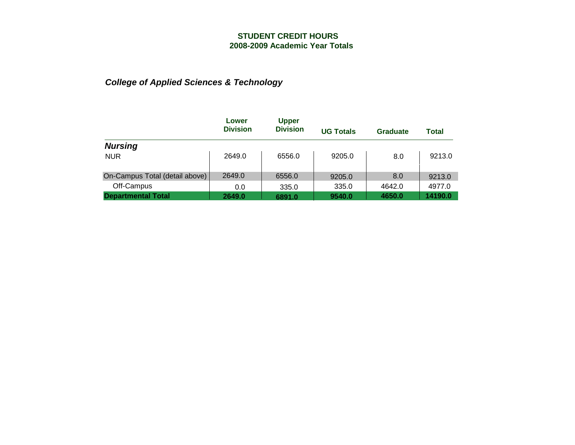|                                | Lower<br><b>Division</b> | <b>Upper</b><br><b>Division</b> | <b>UG Totals</b> | Graduate | Total   |
|--------------------------------|--------------------------|---------------------------------|------------------|----------|---------|
| <b>Nursing</b>                 |                          |                                 |                  |          |         |
| <b>NUR</b>                     | 2649.0                   | 6556.0                          | 9205.0           | 8.0      | 9213.0  |
| On-Campus Total (detail above) | 2649.0                   | 6556.0                          | 9205.0           | 8.0      | 9213.0  |
| Off-Campus                     | 0.0                      | 335.0                           | 335.0            | 4642.0   | 4977.0  |
| <b>Departmental Total</b>      | 2649.0                   | 6891.0                          | 9540.0           | 4650.0   | 14190.0 |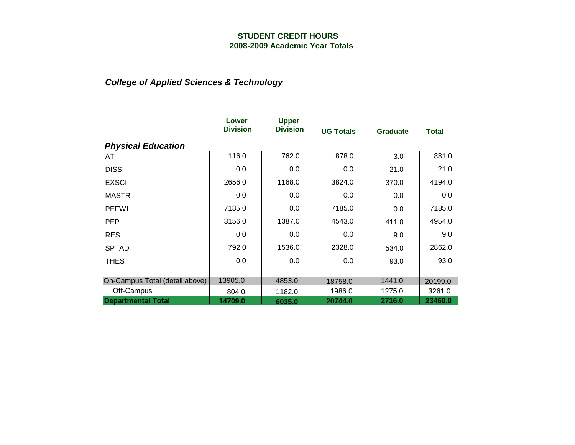|                                | Lower<br><b>Division</b> | <b>Upper</b><br><b>Division</b> | <b>UG Totals</b> | <b>Graduate</b> | <b>Total</b> |
|--------------------------------|--------------------------|---------------------------------|------------------|-----------------|--------------|
| <b>Physical Education</b>      |                          |                                 |                  |                 |              |
| AT                             | 116.0                    | 762.0                           | 878.0            | 3.0             | 881.0        |
| <b>DISS</b>                    | 0.0                      | 0.0                             | 0.0              | 21.0            | 21.0         |
| <b>EXSCI</b>                   | 2656.0                   | 1168.0                          | 3824.0           | 370.0           | 4194.0       |
| <b>MASTR</b>                   | 0.0                      | 0.0                             | 0.0              | 0.0             | 0.0          |
| <b>PEFWL</b>                   | 7185.0                   | 0.0                             | 7185.0           | 0.0             | 7185.0       |
| <b>PEP</b>                     | 3156.0                   | 1387.0                          | 4543.0           | 411.0           | 4954.0       |
| <b>RES</b>                     | 0.0                      | 0.0                             | 0.0              | 9.0             | 9.0          |
| <b>SPTAD</b>                   | 792.0                    | 1536.0                          | 2328.0           | 534.0           | 2862.0       |
| <b>THES</b>                    | 0.0                      | 0.0                             | 0.0              | 93.0            | 93.0         |
|                                |                          |                                 |                  |                 |              |
| On-Campus Total (detail above) | 13905.0                  | 4853.0                          | 18758.0          | 1441.0          | 20199.0      |
| Off-Campus                     | 804.0                    | 1182.0                          | 1986.0           | 1275.0          | 3261.0       |
| <b>Departmental Total</b>      | 14709.0                  | 6035.0                          | 20744.0          | 2716.0          | 23460.0      |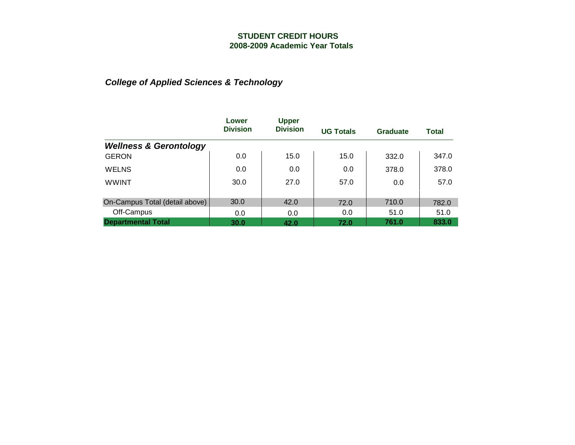|                                   | Lower           | <b>Upper</b>    |                  |          |       |
|-----------------------------------|-----------------|-----------------|------------------|----------|-------|
|                                   | <b>Division</b> | <b>Division</b> | <b>UG Totals</b> | Graduate | Total |
| <b>Wellness &amp; Gerontology</b> |                 |                 |                  |          |       |
| <b>GERON</b>                      | 0.0             | 15.0            | 15.0             | 332.0    | 347.0 |
| <b>WELNS</b>                      | 0.0             | 0.0             | 0.0              | 378.0    | 378.0 |
| <b>WWINT</b>                      | 30.0            | 27.0            | 57.0             | 0.0      | 57.0  |
|                                   |                 |                 |                  |          |       |
| On-Campus Total (detail above)    | 30.0            | 42.0            | 72.0             | 710.0    | 782.0 |
| Off-Campus                        | 0.0             | 0.0             | 0.0              | 51.0     | 51.0  |
| <b>Departmental Total</b>         | 30.0            | 42.0            | 72.0             | 761.0    | 833.0 |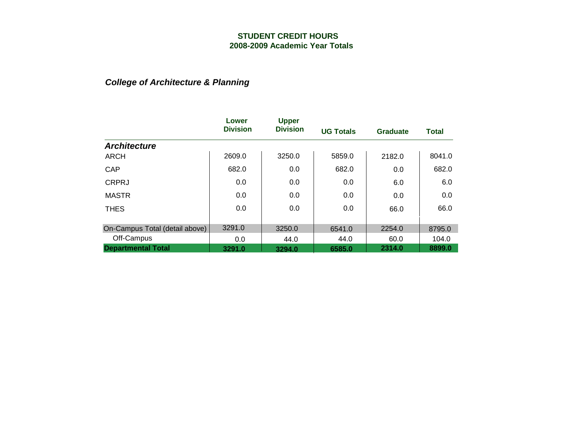# *College of Architecture & Planning*

|                                | Lower           | <b>Upper</b>    |                  |                 |              |
|--------------------------------|-----------------|-----------------|------------------|-----------------|--------------|
|                                | <b>Division</b> | <b>Division</b> | <b>UG Totals</b> | <b>Graduate</b> | <b>Total</b> |
| <b>Architecture</b>            |                 |                 |                  |                 |              |
| ARCH                           | 2609.0          | 3250.0          | 5859.0           | 2182.0          | 8041.0       |
| CAP                            | 682.0           | 0.0             | 682.0            | 0.0             | 682.0        |
| <b>CRPRJ</b>                   | 0.0             | 0.0             | 0.0              | 6.0             | 6.0          |
| <b>MASTR</b>                   | 0.0             | 0.0             | 0.0              | 0.0             | 0.0          |
| <b>THES</b>                    | 0.0             | 0.0             | 0.0              | 66.0            | 66.0         |
| On-Campus Total (detail above) | 3291.0          | 3250.0          | 6541.0           | 2254.0          | 8795.0       |
| Off-Campus                     | 0.0             | 44.0            | 44.0             | 60.0            | 104.0        |
| <b>Departmental Total</b>      | 3291.0          | 3294.0          | 6585.0           | 2314.0          | 8899.0       |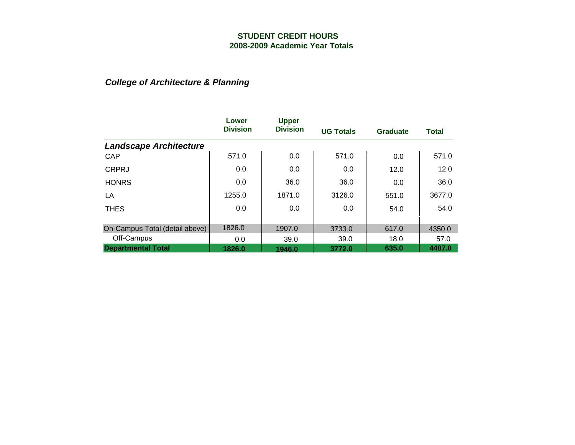### *College of Architecture & Planning*

|                                | Lower           | <b>Upper</b>    |                  |                 |              |
|--------------------------------|-----------------|-----------------|------------------|-----------------|--------------|
|                                | <b>Division</b> | <b>Division</b> | <b>UG Totals</b> | <b>Graduate</b> | <b>Total</b> |
| <b>Landscape Architecture</b>  |                 |                 |                  |                 |              |
| CAP                            | 571.0           | 0.0             | 571.0            | 0.0             | 571.0        |
| <b>CRPRJ</b>                   | 0.0             | 0.0             | 0.0              | 12.0            | 12.0         |
| <b>HONRS</b>                   | 0.0             | 36.0            | 36.0             | 0.0             | 36.0         |
| LA                             | 1255.0          | 1871.0          | 3126.0           | 551.0           | 3677.0       |
| <b>THES</b>                    | 0.0             | 0.0             | 0.0              | 54.0            | 54.0         |
| On-Campus Total (detail above) | 1826.0          | 1907.0          | 3733.0           | 617.0           | 4350.0       |
| Off-Campus                     | 0.0             | 39.0            | 39.0             | 18.0            | 57.0         |
| <b>Departmental Total</b>      | 1826.0          | 1946.0          | 3772.0           | 635.0           | 4407.0       |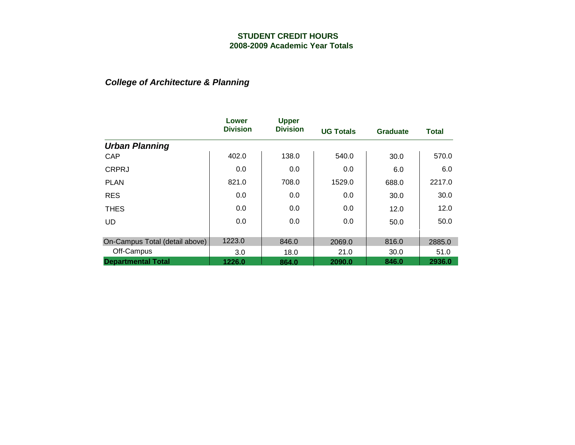# *College of Architecture & Planning*

|                                | Lower<br><b>Division</b> | <b>Upper</b><br><b>Division</b> | <b>UG Totals</b> | <b>Graduate</b> | <b>Total</b> |
|--------------------------------|--------------------------|---------------------------------|------------------|-----------------|--------------|
| <b>Urban Planning</b>          |                          |                                 |                  |                 |              |
| <b>CAP</b>                     | 402.0                    | 138.0                           | 540.0            | 30.0            | 570.0        |
| <b>CRPRJ</b>                   | 0.0                      | 0.0                             | 0.0              | 6.0             | 6.0          |
| <b>PLAN</b>                    | 821.0                    | 708.0                           | 1529.0           | 688.0           | 2217.0       |
| <b>RES</b>                     | 0.0                      | 0.0                             | 0.0              | 30.0            | 30.0         |
| <b>THES</b>                    | 0.0                      | 0.0                             | 0.0              | 12.0            | 12.0         |
| <b>UD</b>                      | 0.0                      | 0.0                             | 0.0              | 50.0            | 50.0         |
| On-Campus Total (detail above) | 1223.0                   | 846.0                           | 2069.0           | 816.0           | 2885.0       |
| Off-Campus                     | 3.0                      | 18.0                            | 21.0             | 30.0            | 51.0         |
| <b>Departmental Total</b>      | 1226.0                   | 864.0                           | 2090.0           | 846.0           | 2936.0       |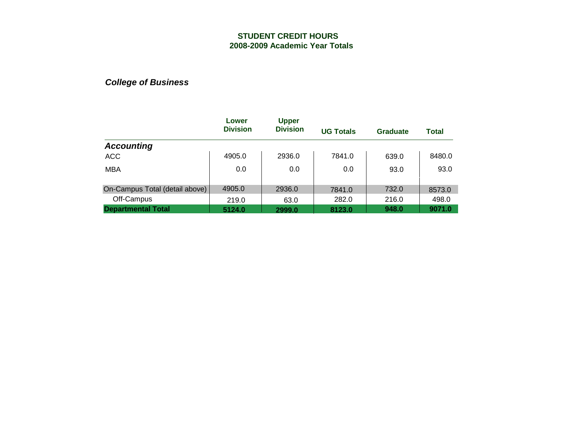|                                | Lower<br><b>Division</b> | <b>Upper</b><br><b>Division</b> | <b>UG Totals</b> | Graduate | <b>Total</b> |
|--------------------------------|--------------------------|---------------------------------|------------------|----------|--------------|
| <b>Accounting</b>              |                          |                                 |                  |          |              |
| <b>ACC</b>                     | 4905.0                   | 2936.0                          | 7841.0           | 639.0    | 8480.0       |
| <b>MBA</b>                     | 0.0                      | 0.0                             | 0.0              | 93.0     | 93.0         |
| On-Campus Total (detail above) | 4905.0                   | 2936.0                          | 7841.0           | 732.0    | 8573.0       |
| Off-Campus                     | 219.0                    | 63.0                            | 282.0            | 216.0    | 498.0        |
| <b>Departmental Total</b>      | 5124.0                   | 2999.0                          | 8123.0           | 948.0    | 9071.0       |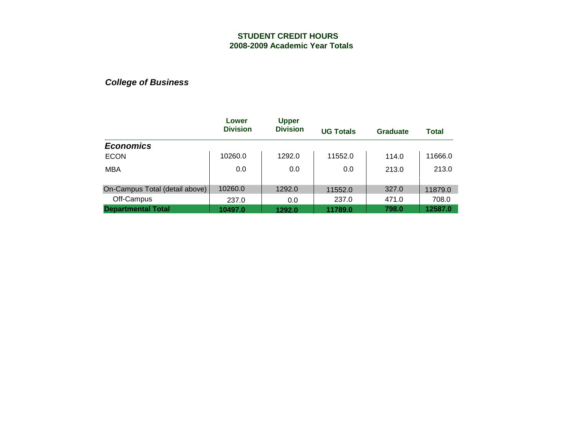|                                | Lower<br><b>Division</b> | <b>Upper</b><br><b>Division</b> | <b>UG Totals</b> | Graduate | Total   |
|--------------------------------|--------------------------|---------------------------------|------------------|----------|---------|
| <b>Economics</b>               |                          |                                 |                  |          |         |
| <b>ECON</b>                    | 10260.0                  | 1292.0                          | 11552.0          | 114.0    | 11666.0 |
| <b>MBA</b>                     | 0.0                      | 0.0                             | 0.0              | 213.0    | 213.0   |
| On-Campus Total (detail above) | 10260.0                  | 1292.0                          | 11552.0          | 327.0    | 11879.0 |
| Off-Campus                     | 237.0                    | 0.0                             | 237.0            | 471.0    | 708.0   |
| <b>Departmental Total</b>      | 10497.0                  | 1292.0                          | 11789.0          | 798.0    | 12587.0 |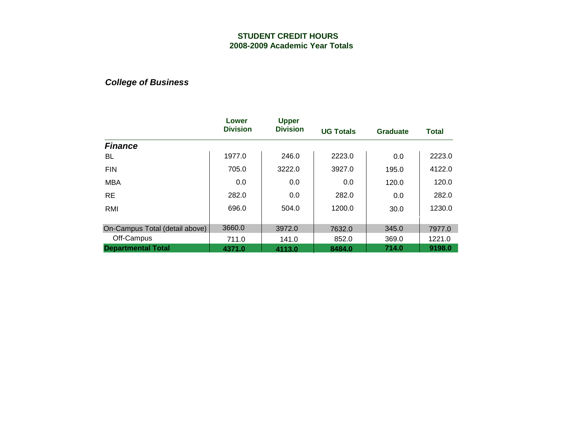|                                | Lower<br><b>Division</b> | <b>Upper</b><br><b>Division</b> | <b>UG Totals</b> | <b>Graduate</b> | <b>Total</b> |
|--------------------------------|--------------------------|---------------------------------|------------------|-----------------|--------------|
| <b>Finance</b>                 |                          |                                 |                  |                 |              |
| BL                             | 1977.0                   | 246.0                           | 2223.0           | 0.0             | 2223.0       |
| <b>FIN</b>                     | 705.0                    | 3222.0                          | 3927.0           | 195.0           | 4122.0       |
| <b>MBA</b>                     | 0.0                      | 0.0                             | 0.0              | 120.0           | 120.0        |
| <b>RE</b>                      | 282.0                    | 0.0                             | 282.0            | 0.0             | 282.0        |
| RMI                            | 696.0                    | 504.0                           | 1200.0           | 30.0            | 1230.0       |
| On-Campus Total (detail above) | 3660.0                   | 3972.0                          | 7632.0           | 345.0           | 7977.0       |
| Off-Campus                     | 711.0                    | 141.0                           | 852.0            | 369.0           | 1221.0       |
| <b>Departmental Total</b>      | 4371.0                   | 4113.0                          | 8484.0           | 714.0           | 9198.0       |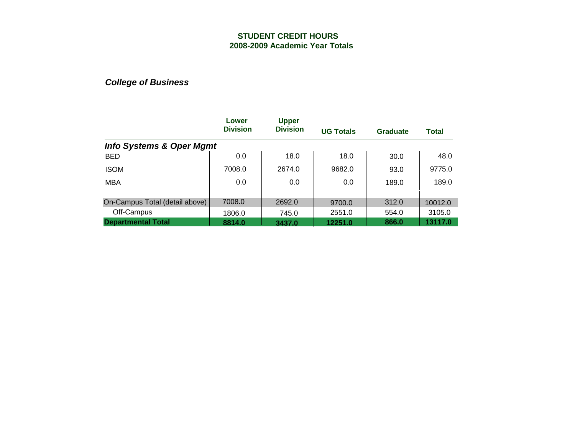|                                     | Lower           | <b>Upper</b>    |                  |          |         |
|-------------------------------------|-----------------|-----------------|------------------|----------|---------|
|                                     | <b>Division</b> | <b>Division</b> | <b>UG Totals</b> | Graduate | Total   |
| <b>Info Systems &amp; Oper Mgmt</b> |                 |                 |                  |          |         |
| <b>BED</b>                          | 0.0             | 18.0            | 18.0             | 30.0     | 48.0    |
| <b>ISOM</b>                         | 7008.0          | 2674.0          | 9682.0           | 93.0     | 9775.0  |
| <b>MBA</b>                          | 0.0             | 0.0             | 0.0              | 189.0    | 189.0   |
|                                     |                 |                 |                  |          |         |
| On-Campus Total (detail above)      | 7008.0          | 2692.0          | 9700.0           | 312.0    | 10012.0 |
| Off-Campus                          | 1806.0          | 745.0           | 2551.0           | 554.0    | 3105.0  |
| <b>Departmental Total</b>           | 8814.0          | 3437.0          | 12251.0          | 866.0    | 13117.0 |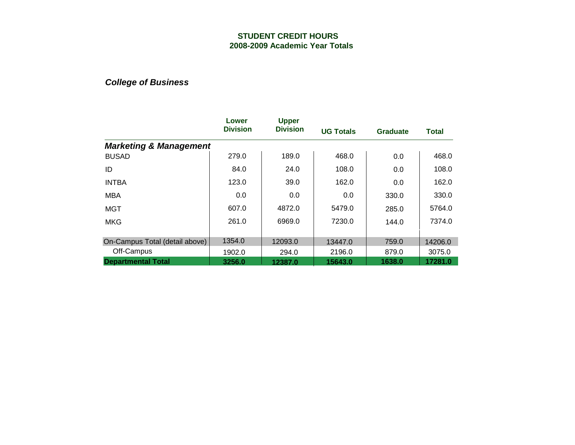|                                   | Lower<br><b>Division</b> | <b>Upper</b><br><b>Division</b> | <b>UG Totals</b> | <b>Graduate</b> | <b>Total</b> |
|-----------------------------------|--------------------------|---------------------------------|------------------|-----------------|--------------|
| <b>Marketing &amp; Management</b> |                          |                                 |                  |                 |              |
| <b>BUSAD</b>                      | 279.0                    | 189.0                           | 468.0            | 0.0             | 468.0        |
| ID                                | 84.0                     | 24.0                            | 108.0            | 0.0             | 108.0        |
| <b>INTBA</b>                      | 123.0                    | 39.0                            | 162.0            | 0.0             | 162.0        |
| <b>MBA</b>                        | 0.0                      | 0.0                             | 0.0              | 330.0           | 330.0        |
| <b>MGT</b>                        | 607.0                    | 4872.0                          | 5479.0           | 285.0           | 5764.0       |
| <b>MKG</b>                        | 261.0                    | 6969.0                          | 7230.0           | 144.0           | 7374.0       |
| On-Campus Total (detail above)    | 1354.0                   | 12093.0                         | 13447.0          | 759.0           | 14206.0      |
| Off-Campus                        | 1902.0                   | 294.0                           | 2196.0           | 879.0           | 3075.0       |
| <b>Departmental Total</b>         | 3256.0                   | 12387.0                         | 15643.0          | 1638.0          | 17281.0      |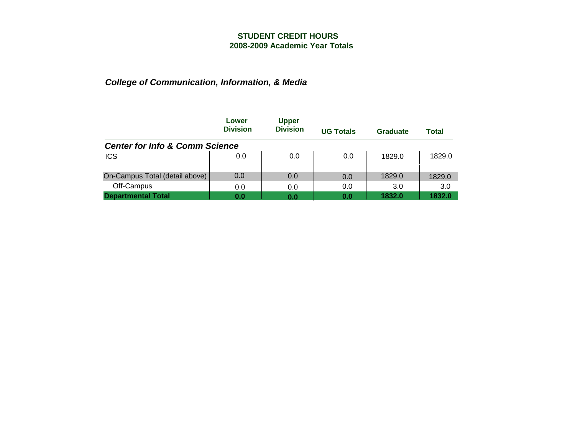|                                           | Lower<br><b>Division</b> | <b>Upper</b><br><b>Division</b> | <b>UG Totals</b> | Graduate | Total  |
|-------------------------------------------|--------------------------|---------------------------------|------------------|----------|--------|
| <b>Center for Info &amp; Comm Science</b> |                          |                                 |                  |          |        |
| <b>ICS</b>                                | 0.0                      | 0.0                             | 0.0              | 1829.0   | 1829.0 |
| On-Campus Total (detail above)            | 0.0                      | 0.0                             | 0.0              | 1829.0   | 1829.0 |
| Off-Campus                                | 0.0                      | 0.0                             | 0.0              | 3.0      | 3.0    |
| partmental Total                          | 0.0                      | 0.0                             | 0.0              | 1832.0   | 1832.0 |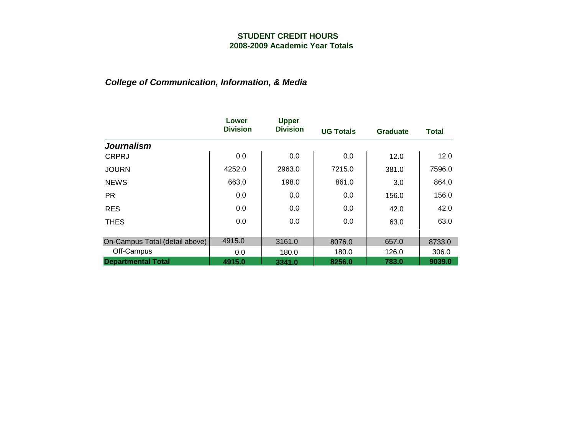|                                | Lower<br><b>Division</b> | <b>Upper</b><br><b>Division</b> | <b>UG Totals</b> | <b>Graduate</b> | <b>Total</b> |
|--------------------------------|--------------------------|---------------------------------|------------------|-----------------|--------------|
| <b>Journalism</b>              |                          |                                 |                  |                 |              |
| <b>CRPRJ</b>                   | 0.0                      | 0.0                             | 0.0              | 12.0            | 12.0         |
| <b>JOURN</b>                   | 4252.0                   | 2963.0                          | 7215.0           | 381.0           | 7596.0       |
| <b>NEWS</b>                    | 663.0                    | 198.0                           | 861.0            | 3.0             | 864.0        |
| <b>PR</b>                      | 0.0                      | 0.0                             | 0.0              | 156.0           | 156.0        |
| <b>RES</b>                     | 0.0                      | 0.0                             | 0.0              | 42.0            | 42.0         |
| <b>THES</b>                    | 0.0                      | 0.0                             | 0.0              | 63.0            | 63.0         |
|                                |                          |                                 |                  |                 |              |
| On-Campus Total (detail above) | 4915.0                   | 3161.0                          | 8076.0           | 657.0           | 8733.0       |
| Off-Campus                     | 0.0                      | 180.0                           | 180.0            | 126.0           | 306.0        |
| <b>Departmental Total</b>      | 4915.0                   | 3341.0                          | 8256.0           | 783.0           | 9039.0       |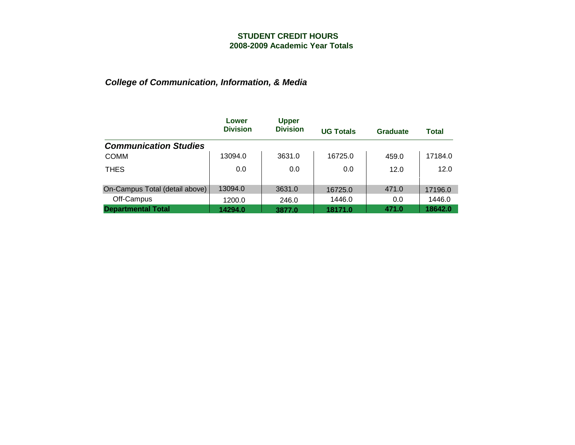|                                | Lower           | <b>Upper</b>    |                  |          |         |
|--------------------------------|-----------------|-----------------|------------------|----------|---------|
|                                | <b>Division</b> | <b>Division</b> | <b>UG Totals</b> | Graduate | Total   |
| <b>Communication Studies</b>   |                 |                 |                  |          |         |
| <b>COMM</b>                    | 13094.0         | 3631.0          | 16725.0          | 459.0    | 17184.0 |
| <b>THES</b>                    | 0.0             | 0.0             | 0.0              | 12.0     | 12.0    |
|                                |                 |                 |                  |          |         |
| On-Campus Total (detail above) | 13094.0         | 3631.0          | 16725.0          | 471.0    | 17196.0 |
| Off-Campus                     | 1200.0          | 246.0           | 1446.0           | 0.0      | 1446.0  |
| <b>Departmental Total</b>      | 14294.0         | 3877.0          | 18171.0          | 471.0    | 18642.0 |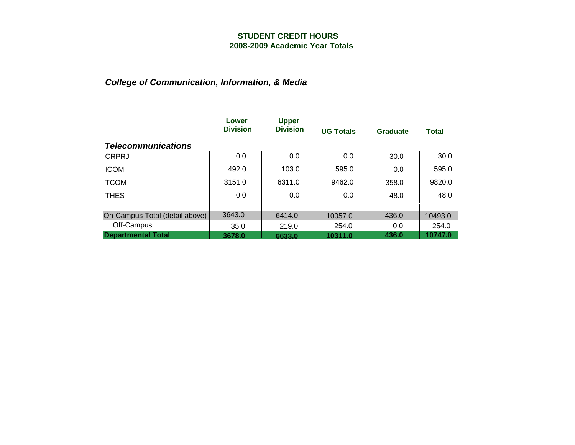|                                | Lower           | <b>Upper</b>    |                  |          |              |
|--------------------------------|-----------------|-----------------|------------------|----------|--------------|
|                                | <b>Division</b> | <b>Division</b> | <b>UG Totals</b> | Graduate | <b>Total</b> |
| <b>Telecommunications</b>      |                 |                 |                  |          |              |
| <b>CRPRJ</b>                   | 0.0             | 0.0             | 0.0              | 30.0     | 30.0         |
| <b>ICOM</b>                    | 492.0           | 103.0           | 595.0            | 0.0      | 595.0        |
| <b>TCOM</b>                    | 3151.0          | 6311.0          | 9462.0           | 358.0    | 9820.0       |
| <b>THES</b>                    | 0.0             | 0.0             | 0.0              | 48.0     | 48.0         |
|                                |                 |                 |                  |          |              |
| On-Campus Total (detail above) | 3643.0          | 6414.0          | 10057.0          | 436.0    | 10493.0      |
| Off-Campus                     | 35.0            | 219.0           | 254.0            | 0.0      | 254.0        |
| <b>Departmental Total</b>      | 3678.0          | 6633.0          | 10311.0          | 436.0    | 10747.0      |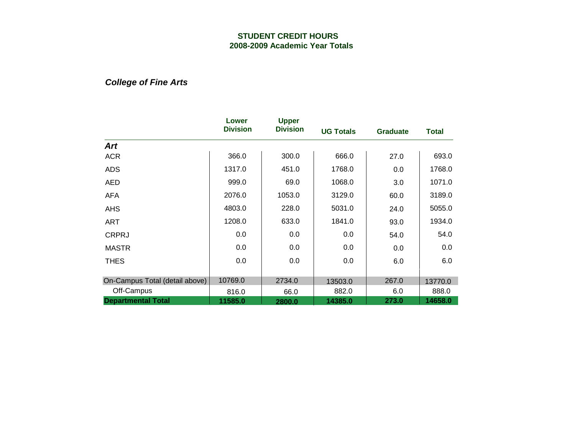*College of Fine Arts*

|                                | Lower<br><b>Division</b> | <b>Upper</b><br><b>Division</b> | <b>UG Totals</b> | <b>Graduate</b> | <b>Total</b> |
|--------------------------------|--------------------------|---------------------------------|------------------|-----------------|--------------|
| Art                            |                          |                                 |                  |                 |              |
| <b>ACR</b>                     | 366.0                    | 300.0                           | 666.0            | 27.0            | 693.0        |
| <b>ADS</b>                     | 1317.0                   | 451.0                           | 1768.0           | 0.0             | 1768.0       |
| AED                            | 999.0                    | 69.0                            | 1068.0           | 3.0             | 1071.0       |
| <b>AFA</b>                     | 2076.0                   | 1053.0                          | 3129.0           | 60.0            | 3189.0       |
| <b>AHS</b>                     | 4803.0                   | 228.0                           | 5031.0           | 24.0            | 5055.0       |
| ART                            | 1208.0                   | 633.0                           | 1841.0           | 93.0            | 1934.0       |
| <b>CRPRJ</b>                   | 0.0                      | 0.0                             | 0.0              | 54.0            | 54.0         |
| <b>MASTR</b>                   | 0.0                      | 0.0                             | 0.0              | 0.0             | 0.0          |
| <b>THES</b>                    | 0.0                      | 0.0                             | 0.0              | 6.0             | 6.0          |
|                                |                          |                                 |                  |                 |              |
| On-Campus Total (detail above) | 10769.0                  | 2734.0                          | 13503.0          | 267.0           | 13770.0      |
| Off-Campus                     | 816.0                    | 66.0                            | 882.0            | 6.0             | 888.0        |
| <b>Departmental Total</b>      | 11585.0                  | 2800.0                          | 14385.0          | 273.0           | 14658.0      |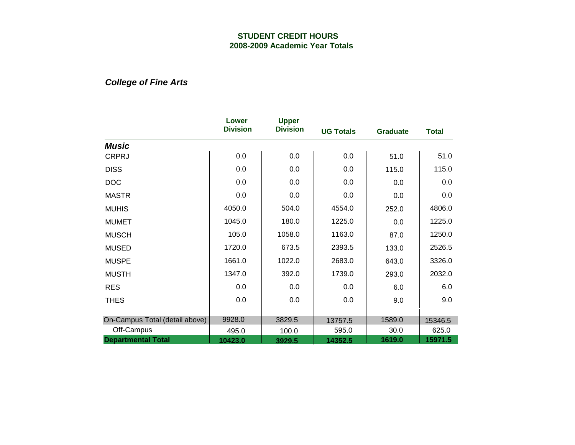*College of Fine Arts*

|                                | Lower<br><b>Division</b> | <b>Upper</b><br><b>Division</b> | <b>UG Totals</b> | <b>Graduate</b> | <b>Total</b> |
|--------------------------------|--------------------------|---------------------------------|------------------|-----------------|--------------|
| <b>Music</b>                   |                          |                                 |                  |                 |              |
| <b>CRPRJ</b>                   | 0.0                      | 0.0                             | 0.0              | 51.0            | 51.0         |
| <b>DISS</b>                    | 0.0                      | 0.0                             | 0.0              | 115.0           | 115.0        |
| <b>DOC</b>                     | 0.0                      | 0.0                             | 0.0              | 0.0             | 0.0          |
| <b>MASTR</b>                   | 0.0                      | 0.0                             | 0.0              | 0.0             | 0.0          |
| <b>MUHIS</b>                   | 4050.0                   | 504.0                           | 4554.0           | 252.0           | 4806.0       |
| <b>MUMET</b>                   | 1045.0                   | 180.0                           | 1225.0           | 0.0             | 1225.0       |
| <b>MUSCH</b>                   | 105.0                    | 1058.0                          | 1163.0           | 87.0            | 1250.0       |
| <b>MUSED</b>                   | 1720.0                   | 673.5                           | 2393.5           | 133.0           | 2526.5       |
| <b>MUSPE</b>                   | 1661.0                   | 1022.0                          | 2683.0           | 643.0           | 3326.0       |
| <b>MUSTH</b>                   | 1347.0                   | 392.0                           | 1739.0           | 293.0           | 2032.0       |
| <b>RES</b>                     | 0.0                      | 0.0                             | 0.0              | 6.0             | 6.0          |
| <b>THES</b>                    | 0.0                      | 0.0                             | 0.0              | 9.0             | 9.0          |
|                                |                          |                                 |                  |                 |              |
| On-Campus Total (detail above) | 9928.0                   | 3829.5                          | 13757.5          | 1589.0          | 15346.5      |
| Off-Campus                     | 495.0                    | 100.0                           | 595.0            | 30.0            | 625.0        |
| <b>Departmental Total</b>      | 10423.0                  | 3929.5                          | 14352.5          | 1619.0          | 15971.5      |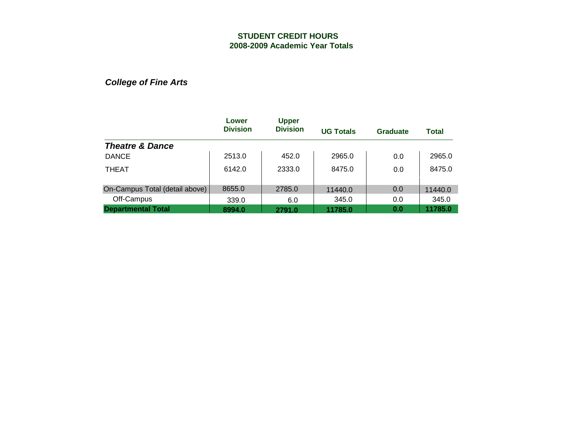*College of Fine Arts*

|                                | Lower<br><b>Division</b> | <b>Upper</b><br><b>Division</b> | <b>UG Totals</b> | Graduate | <b>Total</b> |
|--------------------------------|--------------------------|---------------------------------|------------------|----------|--------------|
| <b>Theatre &amp; Dance</b>     |                          |                                 |                  |          |              |
| <b>DANCE</b>                   | 2513.0                   | 452.0                           | 2965.0           | 0.0      | 2965.0       |
| <b>THEAT</b>                   | 6142.0                   | 2333.0                          | 8475.0           | 0.0      | 8475.0       |
| On-Campus Total (detail above) | 8655.0                   | 2785.0                          | 11440.0          | 0.0      | 11440.0      |
| Off-Campus                     | 339.0                    | 6.0                             | 345.0            | 0.0      | 345.0        |
| <b>Departmental Total</b>      | 8994.0                   | 2791.0                          | 11785.0          | 0.0      | 11785.0      |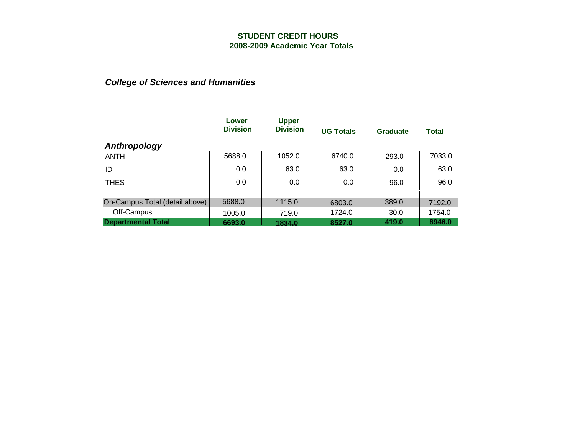|                                | Lower<br><b>Division</b> | <b>Upper</b><br><b>Division</b> | <b>UG Totals</b> | Graduate | Total  |
|--------------------------------|--------------------------|---------------------------------|------------------|----------|--------|
| Anthropology                   |                          |                                 |                  |          |        |
| <b>ANTH</b>                    | 5688.0                   | 1052.0                          | 6740.0           | 293.0    | 7033.0 |
| ID                             | 0.0                      | 63.0                            | 63.0             | 0.0      | 63.0   |
| <b>THES</b>                    | 0.0                      | 0.0                             | 0.0              | 96.0     | 96.0   |
|                                | 5688.0                   |                                 |                  |          |        |
| On-Campus Total (detail above) |                          | 1115.0                          | 6803.0           | 389.0    | 7192.0 |
| Off-Campus                     | 1005.0                   | 719.0                           | 1724.0           | 30.0     | 1754.0 |
| <b>Departmental Total</b>      | 6693.0                   | 1834.0                          | 8527.0           | 419.0    | 8946.0 |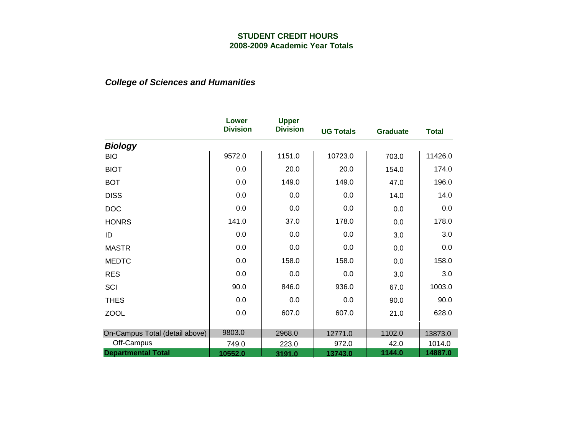|                                | Lower<br><b>Division</b> | <b>Upper</b>    |                  |                 |              |
|--------------------------------|--------------------------|-----------------|------------------|-----------------|--------------|
|                                |                          | <b>Division</b> | <b>UG Totals</b> | <b>Graduate</b> | <b>Total</b> |
| <b>Biology</b>                 |                          |                 |                  |                 |              |
| <b>BIO</b>                     | 9572.0                   | 1151.0          | 10723.0          | 703.0           | 11426.0      |
| <b>BIOT</b>                    | 0.0                      | 20.0            | 20.0             | 154.0           | 174.0        |
| <b>BOT</b>                     | 0.0                      | 149.0           | 149.0            | 47.0            | 196.0        |
| <b>DISS</b>                    | 0.0                      | 0.0             | 0.0              | 14.0            | 14.0         |
| <b>DOC</b>                     | 0.0                      | 0.0             | 0.0              | 0.0             | 0.0          |
| <b>HONRS</b>                   | 141.0                    | 37.0            | 178.0            | 0.0             | 178.0        |
| ID                             | 0.0                      | 0.0             | 0.0              | 3.0             | 3.0          |
| <b>MASTR</b>                   | 0.0                      | 0.0             | 0.0              | 0.0             | 0.0          |
| <b>MEDTC</b>                   | 0.0                      | 158.0           | 158.0            | 0.0             | 158.0        |
| <b>RES</b>                     | 0.0                      | 0.0             | 0.0              | 3.0             | 3.0          |
| SCI                            | 90.0                     | 846.0           | 936.0            | 67.0            | 1003.0       |
| <b>THES</b>                    | 0.0                      | 0.0             | 0.0              | 90.0            | 90.0         |
| <b>ZOOL</b>                    | 0.0                      | 607.0           | 607.0            | 21.0            | 628.0        |
|                                |                          |                 |                  |                 |              |
| On-Campus Total (detail above) | 9803.0                   | 2968.0          | 12771.0          | 1102.0          | 13873.0      |
| Off-Campus                     | 749.0                    | 223.0           | 972.0            | 42.0            | 1014.0       |
| <b>Departmental Total</b>      | 10552.0                  | 3191.0          | 13743.0          | 1144.0          | 14887.0      |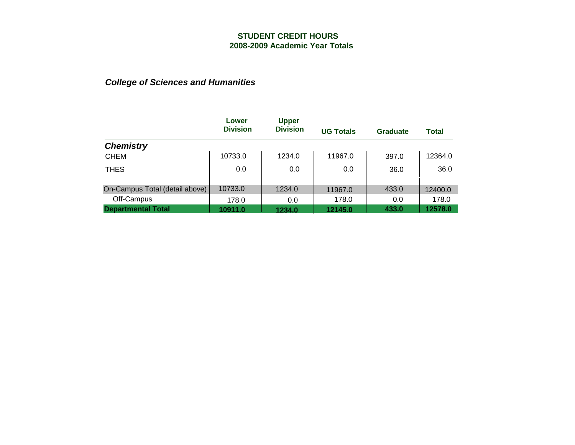|                                | Lower<br><b>Division</b> | <b>Upper</b><br><b>Division</b> | <b>UG Totals</b> | Graduate | <b>Total</b> |
|--------------------------------|--------------------------|---------------------------------|------------------|----------|--------------|
| <b>Chemistry</b>               |                          |                                 |                  |          |              |
| <b>CHEM</b>                    | 10733.0                  | 1234.0                          | 11967.0          | 397.0    | 12364.0      |
| <b>THES</b>                    | 0.0                      | 0.0                             | 0.0              | 36.0     | 36.0         |
| On-Campus Total (detail above) | 10733.0                  | 1234.0                          | 11967.0          | 433.0    | 12400.0      |
| Off-Campus                     | 178.0                    | 0.0                             | 178.0            | 0.0      | 178.0        |
| <b>Departmental Total</b>      | 10911.0                  | 1234.0                          | 12145.0          | 433.0    | 12578.0      |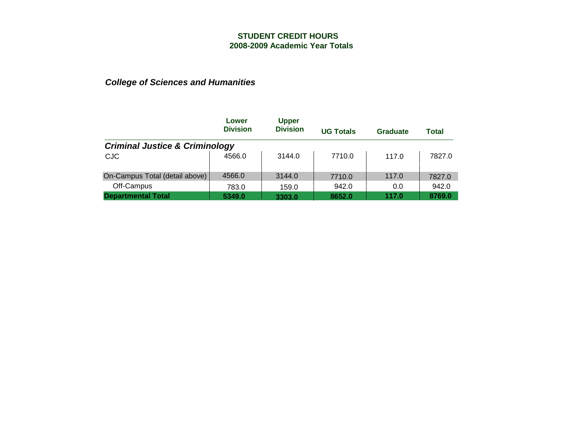|                                           | Lower           | <b>Upper</b>    |                  |          |              |
|-------------------------------------------|-----------------|-----------------|------------------|----------|--------------|
|                                           | <b>Division</b> | <b>Division</b> | <b>UG Totals</b> | Graduate | <b>Total</b> |
| <b>Criminal Justice &amp; Criminology</b> |                 |                 |                  |          |              |
| CJC                                       | 4566.0          | 3144.0          | 7710.0           | 117.0    | 7827.0       |
| On-Campus Total (detail above)            | 4566.0          | 3144.0          | 7710.0           | 117.0    | 7827.0       |
| Off-Campus                                | 783.0           | 159.0           | 942.0            | 0.0      | 942.0        |
| <b>Departmental Total</b>                 | 5349.0          | 3303.0          | 8652.0           | 117.0    | 8769.0       |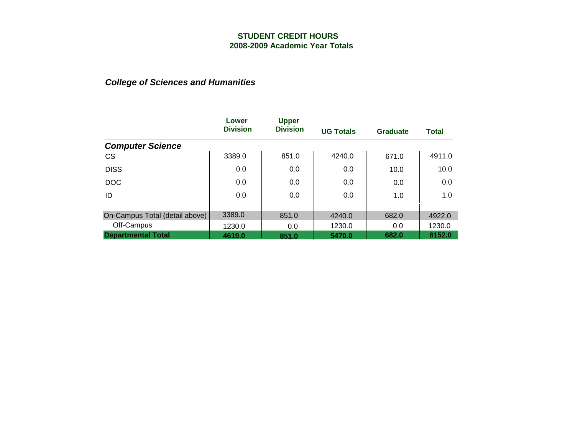|                                | Lower           | <b>Upper</b>    |                  |                 |              |
|--------------------------------|-----------------|-----------------|------------------|-----------------|--------------|
|                                | <b>Division</b> | <b>Division</b> | <b>UG Totals</b> | <b>Graduate</b> | <b>Total</b> |
| <b>Computer Science</b>        |                 |                 |                  |                 |              |
| <b>CS</b>                      | 3389.0          | 851.0           | 4240.0           | 671.0           | 4911.0       |
| <b>DISS</b>                    | 0.0             | 0.0             | 0.0              | 10.0            | 10.0         |
| <b>DOC</b>                     | 0.0             | 0.0             | 0.0              | 0.0             | 0.0          |
| ID                             | 0.0             | 0.0             | 0.0              | 1.0             | 1.0          |
|                                |                 |                 |                  |                 |              |
| On-Campus Total (detail above) | 3389.0          | 851.0           | 4240.0           | 682.0           | 4922.0       |
| Off-Campus                     | 1230.0          | 0.0             | 1230.0           | 0.0             | 1230.0       |
| <b>Departmental Total</b>      | 4619.0          | 851.0           | 5470.0           | 682.0           | 6152.0       |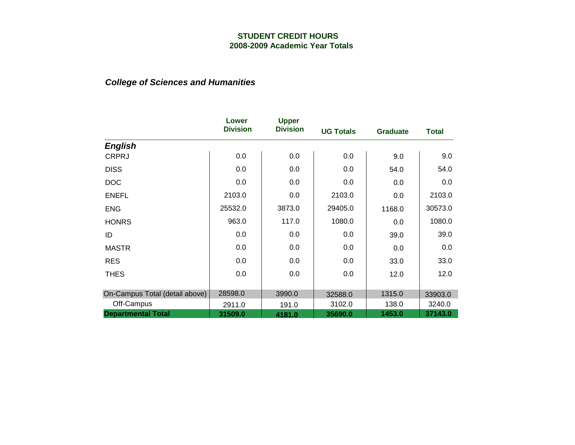|                                | Lower<br><b>Division</b> | <b>Upper</b><br><b>Division</b> | <b>UG Totals</b> | <b>Graduate</b> | <b>Total</b> |
|--------------------------------|--------------------------|---------------------------------|------------------|-----------------|--------------|
| <b>English</b>                 |                          |                                 |                  |                 |              |
| <b>CRPRJ</b>                   | 0.0                      | 0.0                             | 0.0              | 9.0             | 9.0          |
| <b>DISS</b>                    | 0.0                      | 0.0                             | 0.0              | 54.0            | 54.0         |
| <b>DOC</b>                     | 0.0                      | 0.0                             | 0.0              | 0.0             | 0.0          |
| <b>ENEFL</b>                   | 2103.0                   | 0.0                             | 2103.0           | 0.0             | 2103.0       |
| <b>ENG</b>                     | 25532.0                  | 3873.0                          | 29405.0          | 1168.0          | 30573.0      |
| <b>HONRS</b>                   | 963.0                    | 117.0                           | 1080.0           | 0.0             | 1080.0       |
| ID                             | 0.0                      | 0.0                             | 0.0              | 39.0            | 39.0         |
| <b>MASTR</b>                   | 0.0                      | 0.0                             | 0.0              | 0.0             | 0.0          |
| <b>RES</b>                     | 0.0                      | 0.0                             | 0.0              | 33.0            | 33.0         |
| <b>THES</b>                    | 0.0                      | 0.0                             | 0.0              | 12.0            | 12.0         |
|                                |                          |                                 |                  |                 |              |
| On-Campus Total (detail above) | 28598.0                  | 3990.0                          | 32588.0          | 1315.0          | 33903.0      |
| Off-Campus                     | 2911.0                   | 191.0                           | 3102.0           | 138.0           | 3240.0       |
| <b>Departmental Total</b>      | 31509.0                  | 4181.0                          | 35690.0          | 1453.0          | 37143.0      |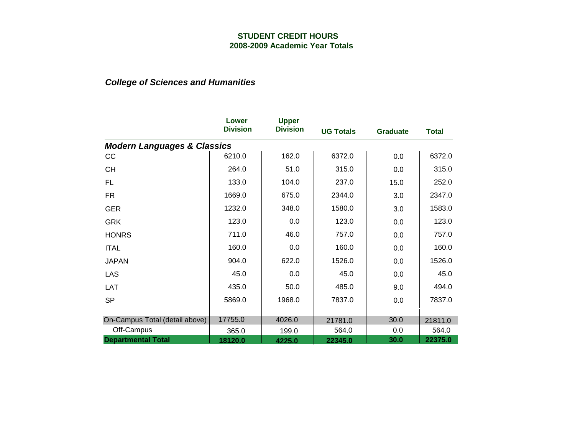|                                        | Lower<br><b>Division</b> | <b>Upper</b><br><b>Division</b> | <b>UG Totals</b> | <b>Graduate</b> | <b>Total</b> |
|----------------------------------------|--------------------------|---------------------------------|------------------|-----------------|--------------|
| <b>Modern Languages &amp; Classics</b> |                          |                                 |                  |                 |              |
| cc                                     | 6210.0                   | 162.0                           | 6372.0           | 0.0             | 6372.0       |
| <b>CH</b>                              | 264.0                    | 51.0                            | 315.0            | 0.0             | 315.0        |
| <b>FL</b>                              | 133.0                    | 104.0                           | 237.0            | 15.0            | 252.0        |
| <b>FR</b>                              | 1669.0                   | 675.0                           | 2344.0           | 3.0             | 2347.0       |
| <b>GER</b>                             | 1232.0                   | 348.0                           | 1580.0           | 3.0             | 1583.0       |
| <b>GRK</b>                             | 123.0                    | 0.0                             | 123.0            | 0.0             | 123.0        |
| <b>HONRS</b>                           | 711.0                    | 46.0                            | 757.0            | 0.0             | 757.0        |
| <b>ITAL</b>                            | 160.0                    | 0.0                             | 160.0            | 0.0             | 160.0        |
| <b>JAPAN</b>                           | 904.0                    | 622.0                           | 1526.0           | 0.0             | 1526.0       |
| <b>LAS</b>                             | 45.0                     | 0.0                             | 45.0             | 0.0             | 45.0         |
| LAT                                    | 435.0                    | 50.0                            | 485.0            | 9.0             | 494.0        |
| <b>SP</b>                              | 5869.0                   | 1968.0                          | 7837.0           | 0.0             | 7837.0       |
|                                        |                          |                                 |                  |                 |              |
| On-Campus Total (detail above)         | 17755.0                  | 4026.0                          | 21781.0          | 30.0            | 21811.0      |
| Off-Campus                             | 365.0                    | 199.0                           | 564.0            | 0.0             | 564.0        |
| <b>Departmental Total</b>              | 18120.0                  | 4225.0                          | 22345.0          | 30.0            | 22375.0      |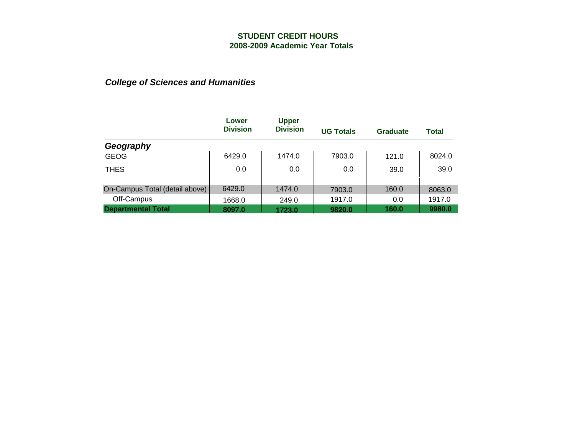|                                | Lower<br><b>Division</b> | <b>Upper</b><br><b>Division</b> | <b>UG Totals</b> | Graduate | <b>Total</b> |
|--------------------------------|--------------------------|---------------------------------|------------------|----------|--------------|
| Geography                      |                          |                                 |                  |          |              |
| <b>GEOG</b>                    | 6429.0                   | 1474.0                          | 7903.0           | 121.0    | 8024.0       |
| <b>THES</b>                    | 0.0                      | 0.0                             | 0.0              | 39.0     | 39.0         |
| On-Campus Total (detail above) | 6429.0                   | 1474.0                          | 7903.0           | 160.0    | 8063.0       |
| Off-Campus                     | 1668.0                   | 249.0                           | 1917.0           | 0.0      | 1917.0       |
| <b>Departmental Total</b>      | 8097.0                   | 1723.0                          | 9820.0           | 160.0    | 9980.0       |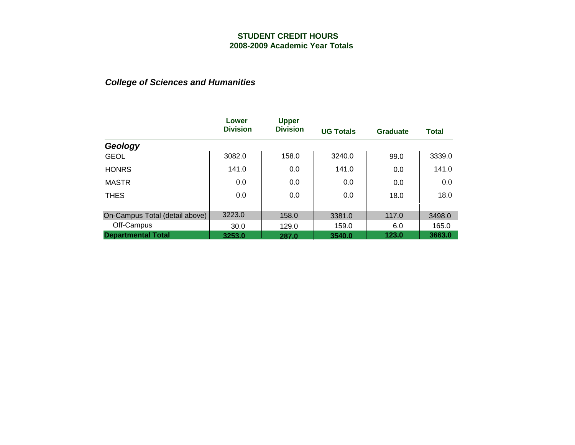|                                | Lower           | <b>Upper</b>    |                  |                 |              |
|--------------------------------|-----------------|-----------------|------------------|-----------------|--------------|
|                                | <b>Division</b> | <b>Division</b> | <b>UG Totals</b> | <b>Graduate</b> | <b>Total</b> |
| Geology                        |                 |                 |                  |                 |              |
| <b>GEOL</b>                    | 3082.0          | 158.0           | 3240.0           | 99.0            | 3339.0       |
| <b>HONRS</b>                   | 141.0           | 0.0             | 141.0            | 0.0             | 141.0        |
| <b>MASTR</b>                   | 0.0             | 0.0             | 0.0              | 0.0             | 0.0          |
| <b>THES</b>                    | 0.0             | 0.0             | 0.0              | 18.0            | 18.0         |
|                                |                 |                 |                  |                 |              |
| On-Campus Total (detail above) | 3223.0          | 158.0           | 3381.0           | 117.0           | 3498.0       |
| Off-Campus                     | 30.0            | 129.0           | 159.0            | 6.0             | 165.0        |
| <b>Departmental Total</b>      | 3253.0          | 287.0           | 3540.0           | 123.0           | 3663.0       |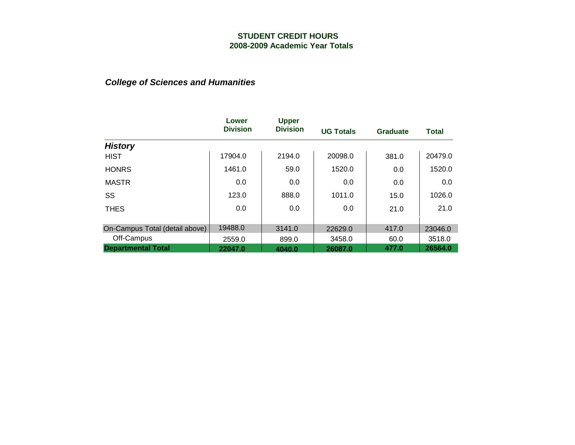|                                | Lower<br><b>Division</b> | <b>Upper</b><br><b>Division</b> |                  |                 |              |
|--------------------------------|--------------------------|---------------------------------|------------------|-----------------|--------------|
|                                |                          |                                 | <b>UG Totals</b> | <b>Graduate</b> | <b>Total</b> |
| <b>History</b>                 |                          |                                 |                  |                 |              |
| <b>HIST</b>                    | 17904.0                  | 2194.0                          | 20098.0          | 381.0           | 20479.0      |
| <b>HONRS</b>                   | 1461.0                   | 59.0                            | 1520.0           | 0.0             | 1520.0       |
| <b>MASTR</b>                   | 0.0                      | 0.0                             | 0.0              | 0.0             | 0.0          |
| SS                             | 123.0                    | 888.0                           | 1011.0           | 15.0            | 1026.0       |
| <b>THES</b>                    | 0.0                      | 0.0                             | 0.0              | 21.0            | 21.0         |
|                                |                          |                                 |                  |                 |              |
| On-Campus Total (detail above) | 19488.0                  | 3141.0                          | 22629.0          | 417.0           | 23046.0      |
| Off-Campus                     | 2559.0                   | 899.0                           | 3458.0           | 60.0            | 3518.0       |
| <b>Departmental Total</b>      | 22047.0                  | 4040.0                          | 26087.0          | 477.0           | 26564.0      |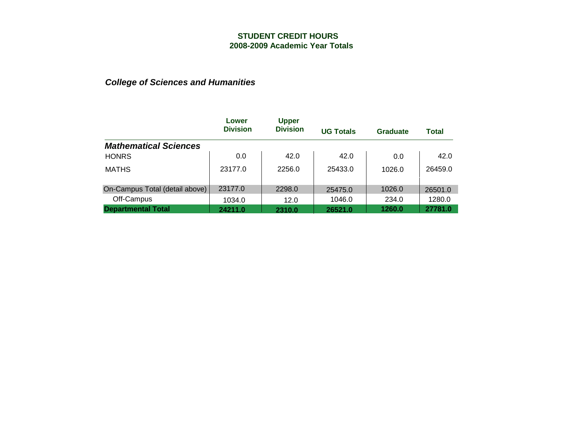|                                | Lower           | <b>Upper</b>    |                  |          |         |
|--------------------------------|-----------------|-----------------|------------------|----------|---------|
|                                | <b>Division</b> | <b>Division</b> | <b>UG Totals</b> | Graduate | Total   |
| <b>Mathematical Sciences</b>   |                 |                 |                  |          |         |
| <b>HONRS</b>                   | 0.0             | 42.0            | 42.0             | 0.0      | 42.0    |
| <b>MATHS</b>                   | 23177.0         | 2256.0          | 25433.0          | 1026.0   | 26459.0 |
|                                |                 |                 |                  |          |         |
| On-Campus Total (detail above) | 23177.0         | 2298.0          | 25475.0          | 1026.0   | 26501.0 |
| Off-Campus                     | 1034.0          | 12.0            | 1046.0           | 234.0    | 1280.0  |
| <b>Departmental Total</b>      | 24211.0         | 2310.0          | 26521.0          | 1260.0   | 27781.0 |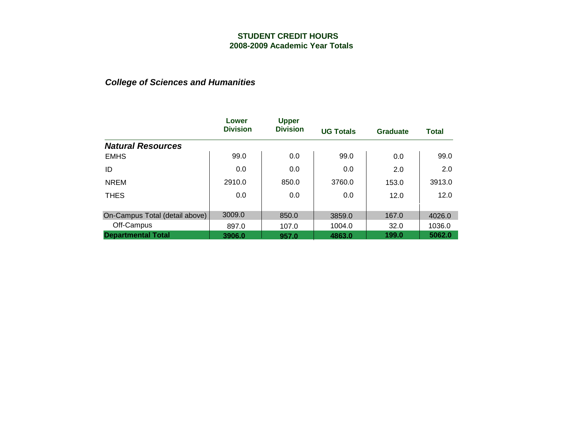|                                | Lower           | <b>Upper</b>    |                  |                 |              |
|--------------------------------|-----------------|-----------------|------------------|-----------------|--------------|
|                                | <b>Division</b> | <b>Division</b> | <b>UG Totals</b> | <b>Graduate</b> | <b>Total</b> |
| <b>Natural Resources</b>       |                 |                 |                  |                 |              |
| <b>EMHS</b>                    | 99.0            | 0.0             | 99.0             | 0.0             | 99.0         |
| ID                             | 0.0             | 0.0             | 0.0              | 2.0             | 2.0          |
| <b>NREM</b>                    | 2910.0          | 850.0           | 3760.0           | 153.0           | 3913.0       |
| <b>THES</b>                    | 0.0             | 0.0             | 0.0              | 12.0            | 12.0         |
|                                |                 |                 |                  |                 |              |
| On-Campus Total (detail above) | 3009.0          | 850.0           | 3859.0           | 167.0           | 4026.0       |
| Off-Campus                     | 897.0           | 107.0           | 1004.0           | 32.0            | 1036.0       |
| <b>Departmental Total</b>      | 3906.0          | 957.0           | 4863.0           | 199.0           | 5062.0       |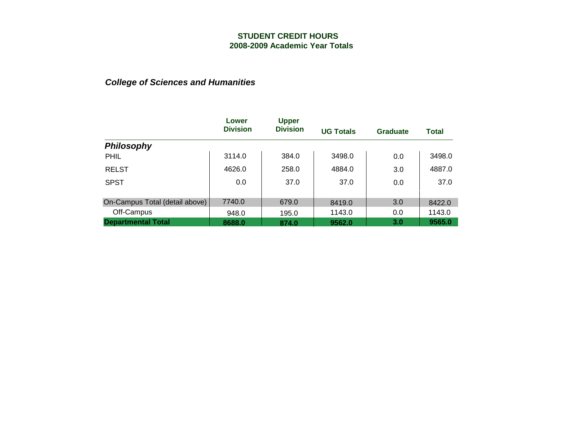|                                | Lower<br><b>Division</b> | <b>Upper</b><br><b>Division</b> | <b>UG Totals</b> | Graduate | Total  |
|--------------------------------|--------------------------|---------------------------------|------------------|----------|--------|
| <b>Philosophy</b>              |                          |                                 |                  |          |        |
| <b>PHIL</b>                    | 3114.0                   | 384.0                           | 3498.0           | 0.0      | 3498.0 |
| <b>RELST</b>                   | 4626.0                   | 258.0                           | 4884.0           | 3.0      | 4887.0 |
| <b>SPST</b>                    | 0.0                      | 37.0                            | 37.0             | 0.0      | 37.0   |
| On-Campus Total (detail above) | 7740.0                   | 679.0                           | 8419.0           | 3.0      | 8422.0 |
| Off-Campus                     | 948.0                    | 195.0                           | 1143.0           | 0.0      | 1143.0 |
| <b>Departmental Total</b>      | 8688.0                   | 874.0                           | 9562.0           | 3.0      | 9565.0 |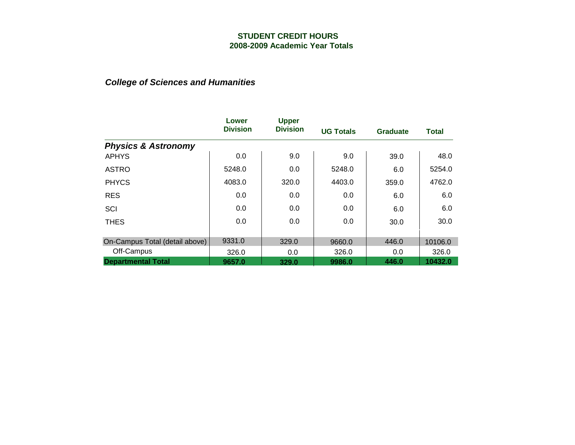|                                | Lower<br><b>Division</b> | <b>Upper</b><br><b>Division</b> | <b>UG Totals</b> | <b>Graduate</b> | <b>Total</b> |
|--------------------------------|--------------------------|---------------------------------|------------------|-----------------|--------------|
| <b>Physics &amp; Astronomy</b> |                          |                                 |                  |                 |              |
| <b>APHYS</b>                   | 0.0                      | 9.0                             | 9.0              | 39.0            | 48.0         |
| <b>ASTRO</b>                   | 5248.0                   | 0.0                             | 5248.0           | 6.0             | 5254.0       |
| <b>PHYCS</b>                   | 4083.0                   | 320.0                           | 4403.0           | 359.0           | 4762.0       |
| <b>RES</b>                     | 0.0                      | 0.0                             | 0.0              | 6.0             | 6.0          |
| SCI                            | 0.0                      | 0.0                             | 0.0              | 6.0             | 6.0          |
| <b>THES</b>                    | 0.0                      | 0.0                             | 0.0              | 30.0            | 30.0         |
|                                |                          |                                 |                  |                 |              |
| On-Campus Total (detail above) | 9331.0                   | 329.0                           | 9660.0           | 446.0           | 10106.0      |
| Off-Campus                     | 326.0                    | 0.0                             | 326.0            | 0.0             | 326.0        |
| <b>Departmental Total</b>      | 9657.0                   | 329.0                           | 9986.0           | 446.0           | 10432.0      |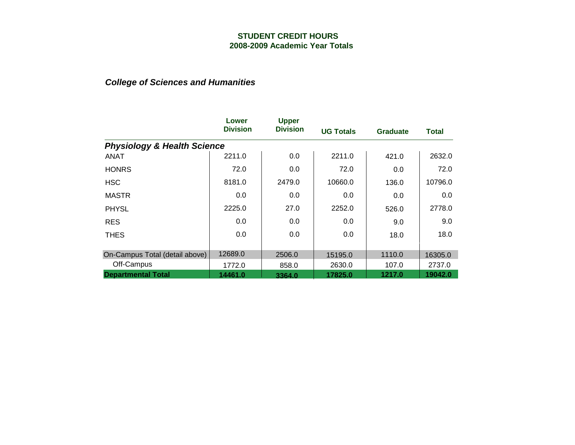|                                        | Lower<br><b>Division</b> | <b>Upper</b><br><b>Division</b> | <b>UG Totals</b> | <b>Graduate</b> | Total   |
|----------------------------------------|--------------------------|---------------------------------|------------------|-----------------|---------|
| <b>Physiology &amp; Health Science</b> |                          |                                 |                  |                 |         |
| <b>ANAT</b>                            | 2211.0                   | 0.0                             | 2211.0           | 421.0           | 2632.0  |
| <b>HONRS</b>                           | 72.0                     | 0.0                             | 72.0             | 0.0             | 72.0    |
| <b>HSC</b>                             | 8181.0                   | 2479.0                          | 10660.0          | 136.0           | 10796.0 |
| <b>MASTR</b>                           | 0.0                      | 0.0                             | 0.0              | 0.0             | 0.0     |
| <b>PHYSL</b>                           | 2225.0                   | 27.0                            | 2252.0           | 526.0           | 2778.0  |
| <b>RES</b>                             | 0.0                      | 0.0                             | 0.0              | 9.0             | 9.0     |
| <b>THES</b>                            | 0.0                      | 0.0                             | 0.0              | 18.0            | 18.0    |
|                                        |                          |                                 |                  |                 |         |
| On-Campus Total (detail above)         | 12689.0                  | 2506.0                          | 15195.0          | 1110.0          | 16305.0 |
| Off-Campus                             | 1772.0                   | 858.0                           | 2630.0           | 107.0           | 2737.0  |
| <b>Departmental Total</b>              | 14461.0                  | 3364.0                          | 17825.0          | 1217.0          | 19042.0 |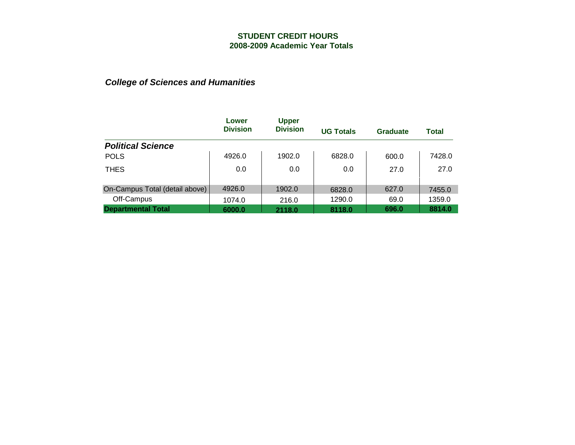|                                         | Lower<br><b>Division</b> | <b>Upper</b><br><b>Division</b> | <b>UG Totals</b> | Graduate      | <b>Total</b>     |
|-----------------------------------------|--------------------------|---------------------------------|------------------|---------------|------------------|
| <b>Political Science</b>                |                          |                                 |                  |               |                  |
| <b>POLS</b>                             | 4926.0                   | 1902.0                          | 6828.0           | 600.0         | 7428.0           |
| <b>THES</b>                             | 0.0                      | 0.0                             | 0.0              | 27.0          | 27.0             |
|                                         | 4926.0                   |                                 |                  |               |                  |
| On-Campus Total (detail above)          |                          | 1902.0                          | 6828.0           | 627.0         | 7455.0           |
| Off-Campus<br><b>Departmental Total</b> | 1074.0<br>6000.0         | 216.0<br>2118.0                 | 1290.0<br>8118.0 | 69.0<br>696.0 | 1359.0<br>8814.0 |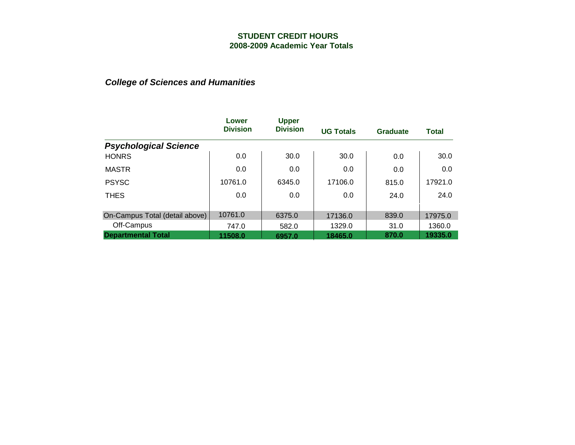|                                | Lower           | <b>Upper</b>    |                  |          |              |
|--------------------------------|-----------------|-----------------|------------------|----------|--------------|
|                                | <b>Division</b> | <b>Division</b> | <b>UG Totals</b> | Graduate | <b>Total</b> |
| <b>Psychological Science</b>   |                 |                 |                  |          |              |
| <b>HONRS</b>                   | 0.0             | 30.0            | 30.0             | 0.0      | 30.0         |
| <b>MASTR</b>                   | 0.0             | 0.0             | 0.0              | 0.0      | 0.0          |
| <b>PSYSC</b>                   | 10761.0         | 6345.0          | 17106.0          | 815.0    | 17921.0      |
| <b>THES</b>                    | 0.0             | 0.0             | 0.0              | 24.0     | 24.0         |
|                                |                 |                 |                  |          |              |
| On-Campus Total (detail above) | 10761.0         | 6375.0          | 17136.0          | 839.0    | 17975.0      |
| Off-Campus                     | 747.0           | 582.0           | 1329.0           | 31.0     | 1360.0       |
| <b>Departmental Total</b>      | 11508.0         | 6957.0          | 18465.0          | 870.0    | 19335.0      |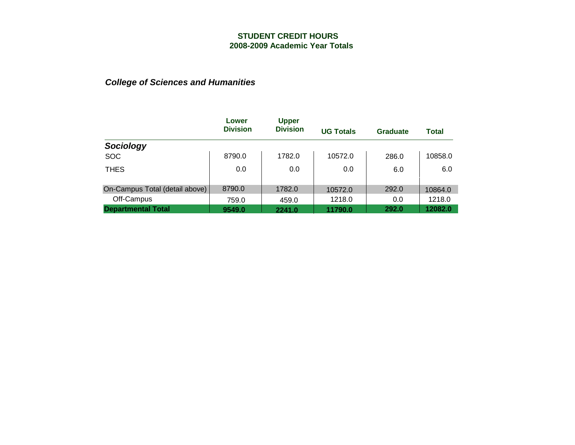|                                | Lower<br><b>Division</b> | <b>Upper</b><br><b>Division</b> | <b>UG Totals</b> | Graduate | <b>Total</b> |
|--------------------------------|--------------------------|---------------------------------|------------------|----------|--------------|
| Sociology                      |                          |                                 |                  |          |              |
| <b>SOC</b>                     | 8790.0                   | 1782.0                          | 10572.0          | 286.0    | 10858.0      |
| <b>THES</b>                    | 0.0                      | 0.0                             | 0.0              | 6.0      | 6.0          |
| On-Campus Total (detail above) | 8790.0                   | 1782.0                          | 10572.0          | 292.0    | 10864.0      |
| Off-Campus                     | 759.0                    | 459.0                           | 1218.0           | 0.0      | 1218.0       |
| <b>Departmental Total</b>      | 9549.0                   | 2241.0                          | 11790.0          | 292.0    | 12082.0      |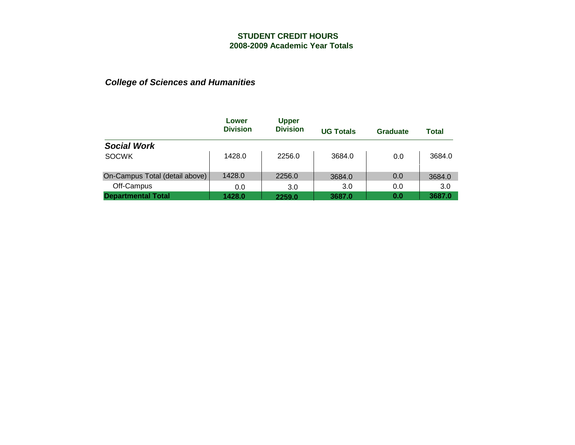|                                | Lower           | <b>Upper</b>    |                  |          |        |
|--------------------------------|-----------------|-----------------|------------------|----------|--------|
|                                | <b>Division</b> | <b>Division</b> | <b>UG Totals</b> | Graduate | Total  |
| <b>Social Work</b>             |                 |                 |                  |          |        |
| <b>SOCWK</b>                   | 1428.0          | 2256.0          | 3684.0           | 0.0      | 3684.0 |
| On-Campus Total (detail above) | 1428.0          | 2256.0          | 3684.0           | 0.0      | 3684.0 |
| Off-Campus                     | 0.0             | 3.0             | 3.0              | 0.0      | 3.0    |
| <b>Departmental Total</b>      | 1428.0          | 2259.0          | 3687.0           | 0.0      | 3687.0 |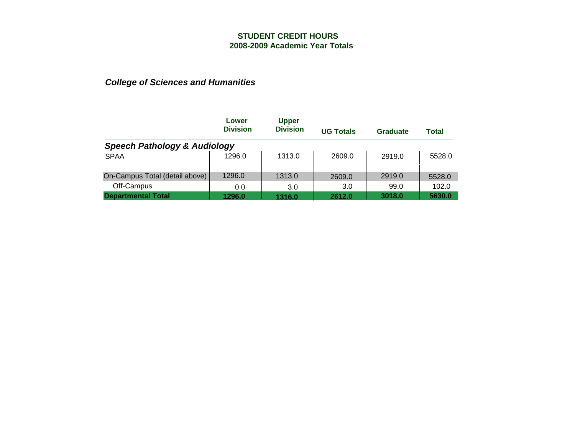|                                         | Lower           | <b>Upper</b>    |                  |          |        |  |  |  |
|-----------------------------------------|-----------------|-----------------|------------------|----------|--------|--|--|--|
|                                         | <b>Division</b> | <b>Division</b> | <b>UG Totals</b> | Graduate | Total  |  |  |  |
| <b>Speech Pathology &amp; Audiology</b> |                 |                 |                  |          |        |  |  |  |
| <b>SPAA</b>                             | 1296.0          | 1313.0          | 2609.0           | 2919.0   | 5528.0 |  |  |  |
| On-Campus Total (detail above)          | 1296.0          | 1313.0          | 2609.0           | 2919.0   | 5528.0 |  |  |  |
| Off-Campus                              | 0.0             | 3.0             | 3.0              | 99.0     | 102.0  |  |  |  |
| <b>Departmental Total</b>               | 1296.0          | 1316.0          | 2612.0           | 3018.0   | 5630.0 |  |  |  |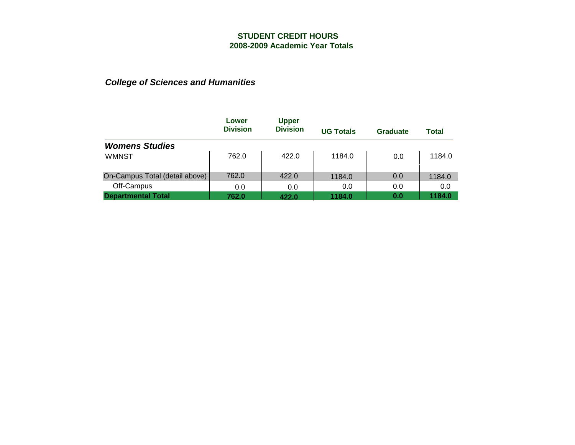|                                | Lower           | <b>Upper</b>    |                  |          |        |
|--------------------------------|-----------------|-----------------|------------------|----------|--------|
|                                | <b>Division</b> | <b>Division</b> | <b>UG Totals</b> | Graduate | Total  |
| <b>Womens Studies</b>          |                 |                 |                  |          |        |
| <b>WMNST</b>                   | 762.0           | 422.0           | 1184.0           | 0.0      | 1184.0 |
| On-Campus Total (detail above) | 762.0           | 422.0           | 1184.0           | 0.0      | 1184.0 |
| Off-Campus                     | 0.0             | 0.0             | 0.0              | 0.0      | 0.0    |
| <b>Departmental Total</b>      | 762.0           | 422.0           | 1184.0           | 0.0      | 1184.0 |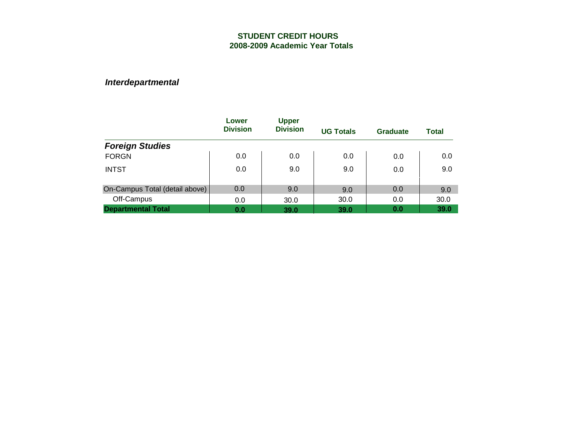|                                | Lower<br><b>Division</b> | <b>Upper</b><br><b>Division</b> | <b>UG Totals</b> | Graduate | <b>Total</b> |
|--------------------------------|--------------------------|---------------------------------|------------------|----------|--------------|
| <b>Foreign Studies</b>         |                          |                                 |                  |          |              |
| <b>FORGN</b>                   | 0.0                      | 0.0                             | 0.0              | 0.0      | 0.0          |
| <b>INTST</b>                   | 0.0                      | 9.0                             | 9.0              | 0.0      | 9.0          |
| On-Campus Total (detail above) | 0.0                      | 9.0                             | 9.0              | 0.0      | 9.0          |
| Off-Campus                     | 0.0                      | 30.0                            | 30.0             | 0.0      | 30.0         |
| <b>Departmental Total</b>      | 0.0                      | 39.0                            | 39.0             | 0.0      | 39.0         |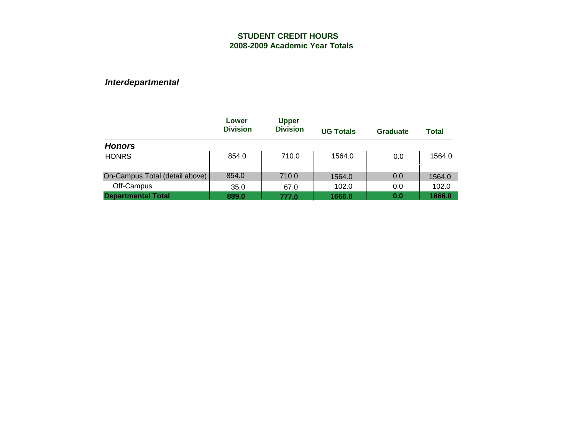|                                | Lower<br><b>Division</b> | <b>Upper</b><br><b>Division</b> | <b>UG Totals</b> | Graduate | <b>Total</b> |
|--------------------------------|--------------------------|---------------------------------|------------------|----------|--------------|
| <b>Honors</b>                  |                          |                                 |                  |          |              |
| <b>HONRS</b>                   | 854.0                    | 710.0                           | 1564.0           | 0.0      | 1564.0       |
| On-Campus Total (detail above) | 854.0                    | 710.0                           | 1564.0           | 0.0      | 1564.0       |
| Off-Campus                     | 35.0                     | 67.0                            | 102.0            | 0.0      | 102.0        |
| <b>Departmental Total</b>      | 889.0                    | 777.0                           | 1666.0           | 0.0      | 1666.0       |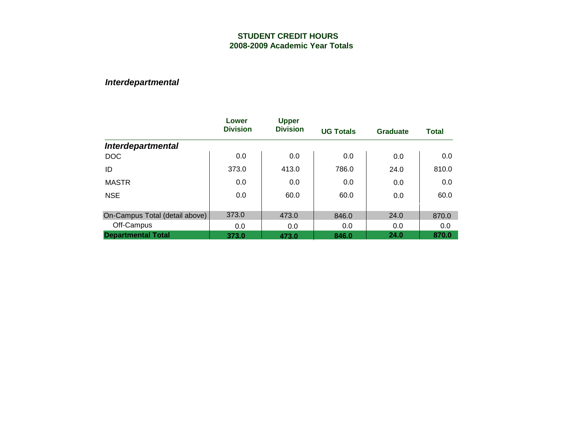|                                | Lower           | <b>Upper</b>    |                  |          |              |
|--------------------------------|-----------------|-----------------|------------------|----------|--------------|
|                                | <b>Division</b> | <b>Division</b> | <b>UG Totals</b> | Graduate | <b>Total</b> |
| <b>Interdepartmental</b>       |                 |                 |                  |          |              |
| <b>DOC</b>                     | 0.0             | 0.0             | 0.0              | 0.0      | 0.0          |
| ID                             | 373.0           | 413.0           | 786.0            | 24.0     | 810.0        |
| <b>MASTR</b>                   | 0.0             | 0.0             | 0.0              | 0.0      | 0.0          |
| <b>NSE</b>                     | 0.0             | 60.0            | 60.0             | 0.0      | 60.0         |
|                                |                 |                 |                  |          |              |
| On-Campus Total (detail above) | 373.0           | 473.0           | 846.0            | 24.0     | 870.0        |
| Off-Campus                     | 0.0             | 0.0             | 0.0              | 0.0      | 0.0          |
| <b>Departmental Total</b>      | 373.0           | 473.0           | 846.0            | 24.0     | 870.0        |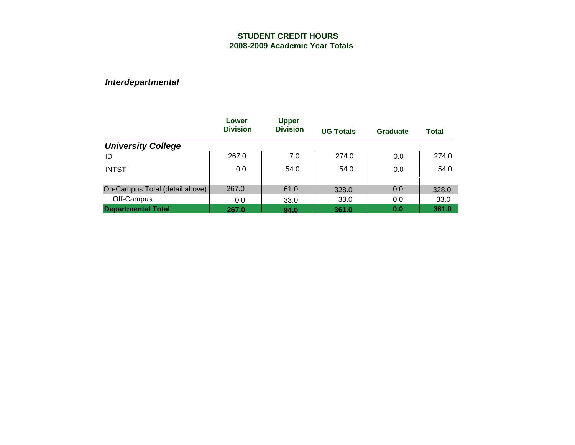|                                | Lower<br><b>Division</b> | <b>Upper</b><br><b>Division</b> | <b>UG Totals</b> | Graduate | <b>Total</b> |
|--------------------------------|--------------------------|---------------------------------|------------------|----------|--------------|
| <b>University College</b>      |                          |                                 |                  |          |              |
| ID                             | 267.0                    | 7.0                             | 274.0            | 0.0      | 274.0        |
| <b>INTST</b>                   | 0.0                      | 54.0                            | 54.0             | 0.0      | 54.0         |
| On-Campus Total (detail above) | 267.0                    | 61.0                            | 328.0            | 0.0      | 328.0        |
| Off-Campus                     | 0.0                      | 33.0                            | 33.0             | 0.0      | 33.0         |
| <b>Departmental Total</b>      | 267.0                    | 94.0                            | 361.0            | 0.0      | 361.0        |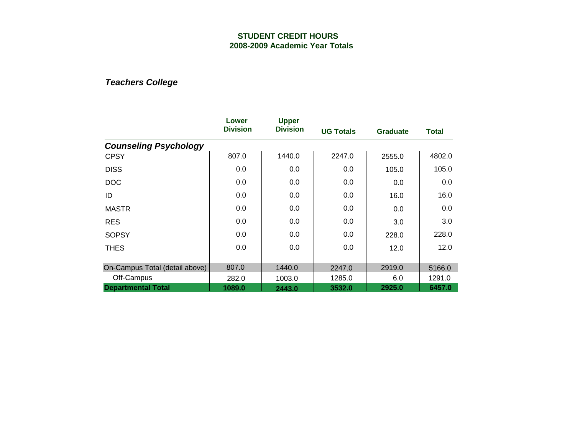|                                | Lower<br><b>Division</b> | <b>Upper</b><br><b>Division</b> | <b>UG Totals</b> | <b>Graduate</b> | <b>Total</b> |
|--------------------------------|--------------------------|---------------------------------|------------------|-----------------|--------------|
| <b>Counseling Psychology</b>   |                          |                                 |                  |                 |              |
| <b>CPSY</b>                    | 807.0                    | 1440.0                          | 2247.0           | 2555.0          | 4802.0       |
| <b>DISS</b>                    | 0.0                      | 0.0                             | 0.0              | 105.0           | 105.0        |
| <b>DOC</b>                     | 0.0                      | 0.0                             | 0.0              | 0.0             | 0.0          |
| ID                             | 0.0                      | 0.0                             | 0.0              | 16.0            | 16.0         |
| <b>MASTR</b>                   | 0.0                      | 0.0                             | 0.0              | 0.0             | 0.0          |
| <b>RES</b>                     | 0.0                      | 0.0                             | 0.0              | 3.0             | 3.0          |
| <b>SOPSY</b>                   | 0.0                      | 0.0                             | 0.0              | 228.0           | 228.0        |
| <b>THES</b>                    | 0.0                      | 0.0                             | 0.0              | 12.0            | 12.0         |
| On-Campus Total (detail above) | 807.0                    | 1440.0                          | 2247.0           | 2919.0          | 5166.0       |
| Off-Campus                     | 282.0                    | 1003.0                          | 1285.0           | 6.0             | 1291.0       |
| <b>Departmental Total</b>      | 1089.0                   | 2443.0                          | 3532.0           | 2925.0          | 6457.0       |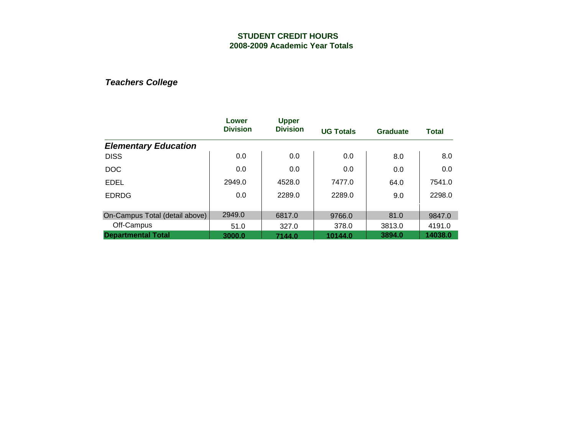|                                | Lower           | <b>Upper</b>    |                  |                 |              |
|--------------------------------|-----------------|-----------------|------------------|-----------------|--------------|
|                                | <b>Division</b> | <b>Division</b> | <b>UG Totals</b> | <b>Graduate</b> | <b>Total</b> |
| <b>Elementary Education</b>    |                 |                 |                  |                 |              |
| <b>DISS</b>                    | 0.0             | 0.0             | 0.0              | 8.0             | 8.0          |
| <b>DOC</b>                     | 0.0             | 0.0             | 0.0              | 0.0             | 0.0          |
| <b>EDEL</b>                    | 2949.0          | 4528.0          | 7477.0           | 64.0            | 7541.0       |
| <b>EDRDG</b>                   | 0.0             | 2289.0          | 2289.0           | 9.0             | 2298.0       |
|                                |                 |                 |                  |                 |              |
| On-Campus Total (detail above) | 2949.0          | 6817.0          | 9766.0           | 81.0            | 9847.0       |
| Off-Campus                     | 51.0            | 327.0           | 378.0            | 3813.0          | 4191.0       |
| <b>Departmental Total</b>      | 3000.0          | 7144.0          | 10144.0          | 3894.0          | 14038.0      |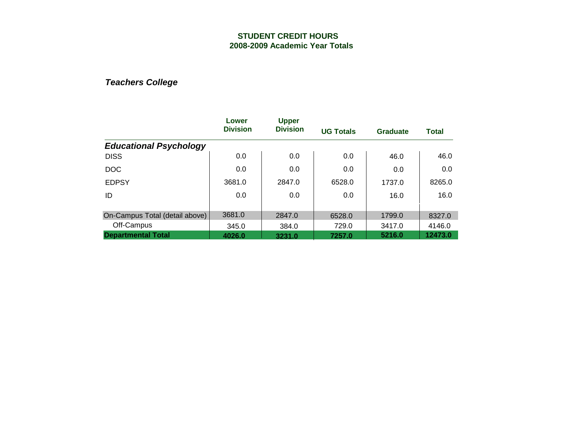|                                | Lower<br><b>Division</b> | <b>Upper</b>    |                  |                 |              |
|--------------------------------|--------------------------|-----------------|------------------|-----------------|--------------|
|                                |                          | <b>Division</b> | <b>UG Totals</b> | <b>Graduate</b> | <b>Total</b> |
| <b>Educational Psychology</b>  |                          |                 |                  |                 |              |
| <b>DISS</b>                    | 0.0                      | 0.0             | 0.0              | 46.0            | 46.0         |
| <b>DOC</b>                     | 0.0                      | 0.0             | 0.0              | 0.0             | 0.0          |
| <b>EDPSY</b>                   | 3681.0                   | 2847.0          | 6528.0           | 1737.0          | 8265.0       |
| ID                             | 0.0                      | 0.0             | 0.0              | 16.0            | 16.0         |
|                                |                          |                 |                  |                 |              |
| On-Campus Total (detail above) | 3681.0                   | 2847.0          | 6528.0           | 1799.0          | 8327.0       |
| Off-Campus                     | 345.0                    | 384.0           | 729.0            | 3417.0          | 4146.0       |
| <b>Departmental Total</b>      | 4026.0                   | 3231.0          | 7257.0           | 5216.0          | 12473.0      |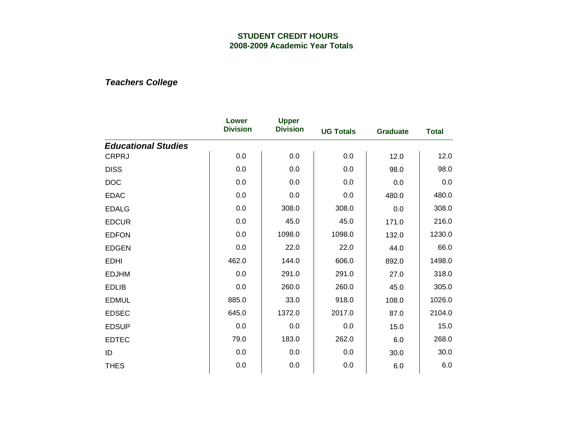|                            | Lower<br><b>Division</b> | <b>Upper</b>    |                  |                 |              |
|----------------------------|--------------------------|-----------------|------------------|-----------------|--------------|
|                            |                          | <b>Division</b> | <b>UG Totals</b> | <b>Graduate</b> | <b>Total</b> |
| <b>Educational Studies</b> |                          |                 |                  |                 |              |
| <b>CRPRJ</b>               | 0.0                      | 0.0             | 0.0              | 12.0            | 12.0         |
| <b>DISS</b>                | 0.0                      | 0.0             | 0.0              | 98.0            | 98.0         |
| DOC                        | 0.0                      | 0.0             | 0.0              | 0.0             | 0.0          |
| <b>EDAC</b>                | 0.0                      | 0.0             | 0.0              | 480.0           | 480.0        |
| <b>EDALG</b>               | 0.0                      | 308.0           | 308.0            | 0.0             | 308.0        |
| <b>EDCUR</b>               | 0.0                      | 45.0            | 45.0             | 171.0           | 216.0        |
| <b>EDFON</b>               | 0.0                      | 1098.0          | 1098.0           | 132.0           | 1230.0       |
| <b>EDGEN</b>               | 0.0                      | 22.0            | 22.0             | 44.0            | 66.0         |
| <b>EDHI</b>                | 462.0                    | 144.0           | 606.0            | 892.0           | 1498.0       |
| <b>EDJHM</b>               | 0.0                      | 291.0           | 291.0            | 27.0            | 318.0        |
| <b>EDLIB</b>               | 0.0                      | 260.0           | 260.0            | 45.0            | 305.0        |
| <b>EDMUL</b>               | 885.0                    | 33.0            | 918.0            | 108.0           | 1026.0       |
| <b>EDSEC</b>               | 645.0                    | 1372.0          | 2017.0           | 87.0            | 2104.0       |
| <b>EDSUP</b>               | 0.0                      | 0.0             | 0.0              | 15.0            | 15.0         |
| <b>EDTEC</b>               | 79.0                     | 183.0           | 262.0            | 6.0             | 268.0        |
| ID                         | 0.0                      | 0.0             | 0.0              | 30.0            | 30.0         |
| <b>THES</b>                | 0.0                      | 0.0             | 0.0              | 6.0             | 6.0          |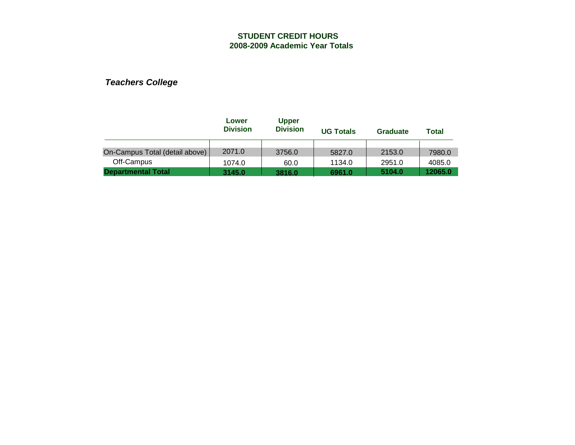|                                | Lower<br><b>Division</b> | <b>Upper</b><br><b>Division</b> | <b>UG Totals</b> | <b>Graduate</b> | Total   |
|--------------------------------|--------------------------|---------------------------------|------------------|-----------------|---------|
|                                |                          |                                 |                  |                 |         |
| On-Campus Total (detail above) | 2071.0                   | 3756.0                          | 5827.0           | 2153.0          | 7980.0  |
| Off-Campus                     | 1074.0                   | 60.0                            | 1134.0           | 2951.0          | 4085.0  |
| <b>Departmental Total</b>      | 3145.0                   | 3816.0                          | 6961.0           | 5104.0          | 12065.0 |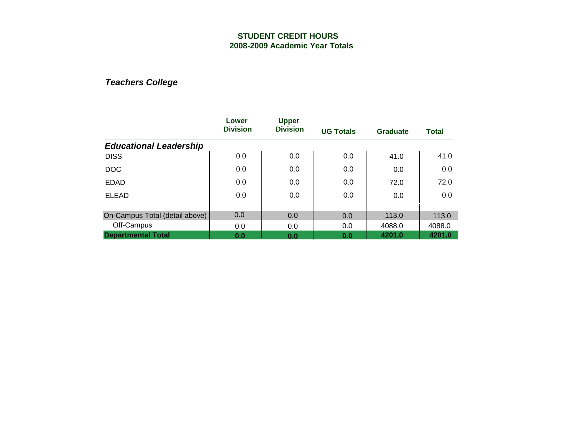|                                | Lower<br><b>Division</b> | <b>Upper</b>    |                  |                 |              |  |
|--------------------------------|--------------------------|-----------------|------------------|-----------------|--------------|--|
|                                |                          | <b>Division</b> | <b>UG Totals</b> | <b>Graduate</b> | <b>Total</b> |  |
| <b>Educational Leadership</b>  |                          |                 |                  |                 |              |  |
| <b>DISS</b>                    | 0.0                      | 0.0             | 0.0              | 41.0            | 41.0         |  |
| <b>DOC</b>                     | 0.0                      | 0.0             | 0.0              | 0.0             | 0.0          |  |
| <b>EDAD</b>                    | 0.0                      | 0.0             | 0.0              | 72.0            | 72.0         |  |
| <b>ELEAD</b>                   | 0.0                      | 0.0             | 0.0              | 0.0             | 0.0          |  |
|                                |                          |                 |                  |                 |              |  |
| On-Campus Total (detail above) | 0.0                      | 0.0             | 0.0              | 113.0           | 113.0        |  |
| Off-Campus                     | 0.0                      | 0.0             | 0.0              | 4088.0          | 4088.0       |  |
| <b>Departmental Total</b>      | 0.0                      | 0.0             | 0.0              | 4201.0          | 4201.0       |  |